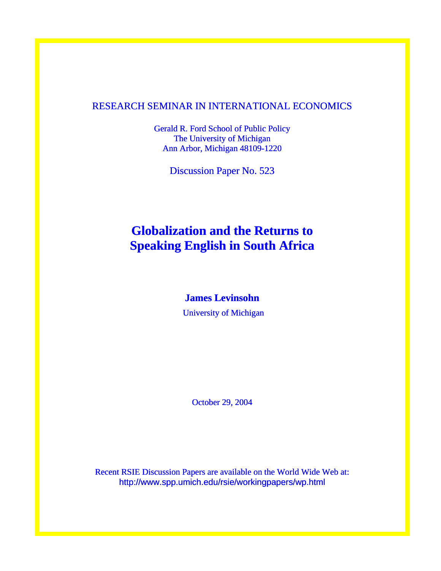## RESEARCH SEMINAR IN INTERNATIONAL ECONOMICS

Gerald R. Ford School of Public Policy The University of Michigan Ann Arbor, Michigan 48109-1220

Discussion Paper No. 523

# **Globalization and the Returns to Speaking English in South Africa**

### **James Levinsohn**

University of Michigan

October 29, 2004

Recent RSIE Discussion Papers are available on the World Wide Web at: http://www.spp.umich.edu/rsie/workingpapers/wp.html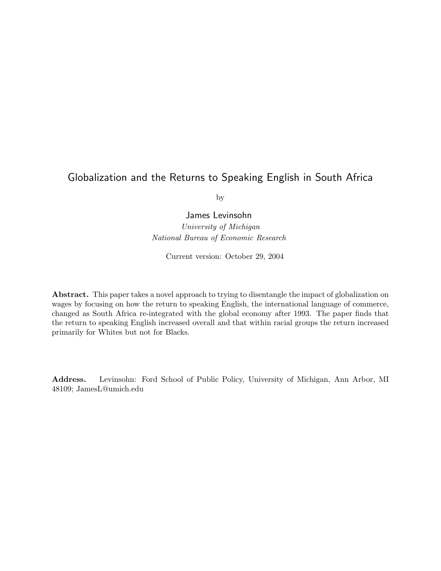## Globalization and the Returns to Speaking English in South Africa

by

James Levinsohn

University of Michigan National Bureau of Economic Research

Current version: October 29, 2004

Abstract. This paper takes a novel approach to trying to disentangle the impact of globalization on wages by focusing on how the return to speaking English, the international language of commerce, changed as South Africa re-integrated with the global economy after 1993. The paper finds that the return to speaking English increased overall and that within racial groups the return increased primarily for Whites but not for Blacks.

Address. Levinsohn: Ford School of Public Policy, University of Michigan, Ann Arbor, MI 48109; JamesL@umich.edu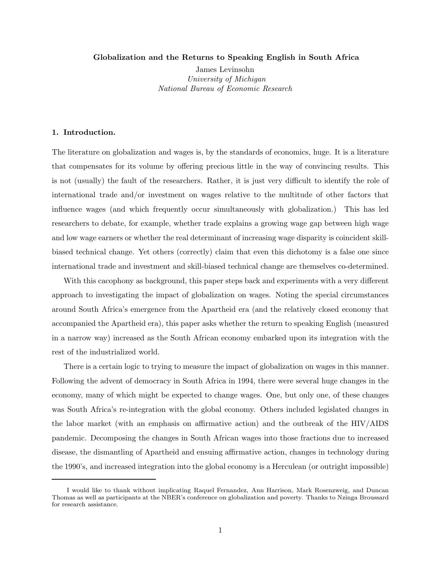Globalization and the Returns to Speaking English in South Africa

James Levinsohn University of Michigan National Bureau of Economic Research

#### 1. Introduction.

The literature on globalization and wages is, by the standards of economics, huge. It is a literature that compensates for its volume by offering precious little in the way of convincing results. This is not (usually) the fault of the researchers. Rather, it is just very difficult to identify the role of international trade and/or investment on wages relative to the multitude of other factors that influence wages (and which frequently occur simultaneously with globalization.) This has led researchers to debate, for example, whether trade explains a growing wage gap between high wage and low wage earners or whether the real determinant of increasing wage disparity is coincident skillbiased technical change. Yet others (correctly) claim that even this dichotomy is a false one since international trade and investment and skill-biased technical change are themselves co-determined.

With this cacophony as background, this paper steps back and experiments with a very different approach to investigating the impact of globalization on wages. Noting the special circumstances around South Africa's emergence from the Apartheid era (and the relatively closed economy that accompanied the Apartheid era), this paper asks whether the return to speaking English (measured in a narrow way) increased as the South African economy embarked upon its integration with the rest of the industrialized world.

There is a certain logic to trying to measure the impact of globalization on wages in this manner. Following the advent of democracy in South Africa in 1994, there were several huge changes in the economy, many of which might be expected to change wages. One, but only one, of these changes was South Africa's re-integration with the global economy. Others included legislated changes in the labor market (with an emphasis on affirmative action) and the outbreak of the HIV/AIDS pandemic. Decomposing the changes in South African wages into those fractions due to increased disease, the dismantling of Apartheid and ensuing affirmative action, changes in technology during the 1990's, and increased integration into the global economy is a Herculean (or outright impossible)

I would like to thank without implicating Raquel Fernandez, Ann Harrison, Mark Rosenzweig, and Duncan Thomas as well as participants at the NBER's conference on globalization and poverty. Thanks to Nzinga Broussard for research assistance.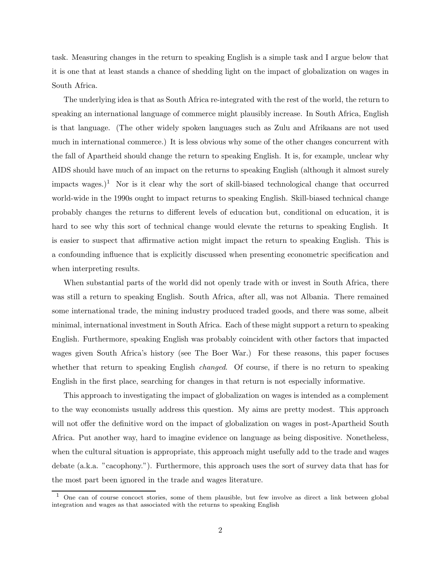task. Measuring changes in the return to speaking English is a simple task and I argue below that it is one that at least stands a chance of shedding light on the impact of globalization on wages in South Africa.

The underlying idea is that as South Africa re-integrated with the rest of the world, the return to speaking an international language of commerce might plausibly increase. In South Africa, English is that language. (The other widely spoken languages such as Zulu and Afrikaans are not used much in international commerce.) It is less obvious why some of the other changes concurrent with the fall of Apartheid should change the return to speaking English. It is, for example, unclear why AIDS should have much of an impact on the returns to speaking English (although it almost surely impacts wages.)<sup>1</sup> Nor is it clear why the sort of skill-biased technological change that occurred world-wide in the 1990s ought to impact returns to speaking English. Skill-biased technical change probably changes the returns to different levels of education but, conditional on education, it is hard to see why this sort of technical change would elevate the returns to speaking English. It is easier to suspect that affirmative action might impact the return to speaking English. This is a confounding influence that is explicitly discussed when presenting econometric specification and when interpreting results.

When substantial parts of the world did not openly trade with or invest in South Africa, there was still a return to speaking English. South Africa, after all, was not Albania. There remained some international trade, the mining industry produced traded goods, and there was some, albeit minimal, international investment in South Africa. Each of these might support a return to speaking English. Furthermore, speaking English was probably coincident with other factors that impacted wages given South Africa's history (see The Boer War.) For these reasons, this paper focuses whether that return to speaking English *changed*. Of course, if there is no return to speaking English in the first place, searching for changes in that return is not especially informative.

This approach to investigating the impact of globalization on wages is intended as a complement to the way economists usually address this question. My aims are pretty modest. This approach will not offer the definitive word on the impact of globalization on wages in post-Apartheid South Africa. Put another way, hard to imagine evidence on language as being dispositive. Nonetheless, when the cultural situation is appropriate, this approach might usefully add to the trade and wages debate (a.k.a. "cacophony."). Furthermore, this approach uses the sort of survey data that has for the most part been ignored in the trade and wages literature.

<sup>1</sup> One can of course concoct stories, some of them plausible, but few involve as direct a link between global integration and wages as that associated with the returns to speaking English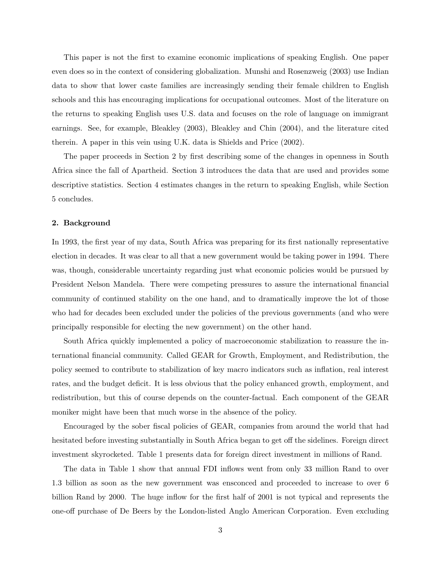This paper is not the first to examine economic implications of speaking English. One paper even does so in the context of considering globalization. Munshi and Rosenzweig (2003) use Indian data to show that lower caste families are increasingly sending their female children to English schools and this has encouraging implications for occupational outcomes. Most of the literature on the returns to speaking English uses U.S. data and focuses on the role of language on immigrant earnings. See, for example, Bleakley (2003), Bleakley and Chin (2004), and the literature cited therein. A paper in this vein using U.K. data is Shields and Price (2002).

The paper proceeds in Section 2 by first describing some of the changes in openness in South Africa since the fall of Apartheid. Section 3 introduces the data that are used and provides some descriptive statistics. Section 4 estimates changes in the return to speaking English, while Section 5 concludes.

#### 2. Background

In 1993, the first year of my data, South Africa was preparing for its first nationally representative election in decades. It was clear to all that a new government would be taking power in 1994. There was, though, considerable uncertainty regarding just what economic policies would be pursued by President Nelson Mandela. There were competing pressures to assure the international financial community of continued stability on the one hand, and to dramatically improve the lot of those who had for decades been excluded under the policies of the previous governments (and who were principally responsible for electing the new government) on the other hand.

South Africa quickly implemented a policy of macroeconomic stabilization to reassure the international financial community. Called GEAR for Growth, Employment, and Redistribution, the policy seemed to contribute to stabilization of key macro indicators such as inflation, real interest rates, and the budget deficit. It is less obvious that the policy enhanced growth, employment, and redistribution, but this of course depends on the counter-factual. Each component of the GEAR moniker might have been that much worse in the absence of the policy.

Encouraged by the sober fiscal policies of GEAR, companies from around the world that had hesitated before investing substantially in South Africa began to get off the sidelines. Foreign direct investment skyrocketed. Table 1 presents data for foreign direct investment in millions of Rand.

The data in Table 1 show that annual FDI inflows went from only 33 million Rand to over 1.3 billion as soon as the new government was ensconced and proceeded to increase to over 6 billion Rand by 2000. The huge inflow for the first half of 2001 is not typical and represents the one-off purchase of De Beers by the London-listed Anglo American Corporation. Even excluding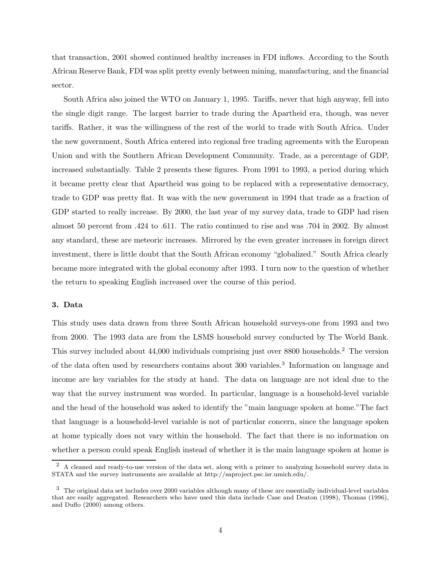that transaction, 2001 showed continued healthy increases in FDI inflows. According to the South African Reserve Bank, FDI was split pretty evenly between mining, manufacturing, and the financial sector.

South Africa also joined the WTO on January 1, 1995. Tariffs, never that high anyway, fell into the single digit range. The largest barrier to trade during the Apartheid era, though, was never tariffs. Rather, it was the willingness of the rest of the world to trade with South Africa. Under the new government, South Africa entered into regional free trading agreements with the European Union and with the Southern African Development Community. Trade, as a percentage of GDP, increased substantially. Table 2 presents these figures. From 1991 to 1993, a period during which it became pretty clear that Apartheid was going to be replaced with a representative democracy, trade to GDP was pretty flat. It was with the new government in 1994 that trade as a fraction of GDP started to really increase. By 2000, the last year of my survey data, trade to GDP had risen almost 50 percent from .424 to .611. The ratio continued to rise and was .704 in 2002. By almost any standard, these are meteoric increases. Mirrored by the even greater increases in foreign direct investment, there is little doubt that the South African economy "globalized." South Africa clearly became more integrated with the global economy after 1993. I turn now to the question of whether the return to speaking English increased over the course of this period.

#### 3. Data

This study uses data drawn from three South African household surveys-one from 1993 and two from 2000. The 1993 data are from the LSMS household survey conducted by The World Bank. This survey included about 44,000 individuals comprising just over 8800 households.<sup>2</sup> The version of the data often used by researchers contains about 300 variables.<sup>3</sup> Information on language and income are key variables for the study at hand. The data on language are not ideal due to the way that the survey instrument was worded. In particular, language is a household-level variable and the head of the household was asked to identify the "main language spoken at home."The fact that language is a household-level variable is not of particular concern, since the language spoken at home typically does not vary within the household. The fact that there is no information on whether a person could speak English instead of whether it is the main language spoken at home is

<sup>&</sup>lt;sup>2</sup> A cleaned and ready-to-use version of the data set, along with a primer to analyzing household survey data in STATA and the survey instruments are available at http://saproject.psc.isr.umich.edu/.

 $3$  The original data set includes over 2000 variables although many of these are essentially individual-level variables that are easily aggregated. Researchers who have used this data include Case and Deaton (1998), Thomas (1996), and Duflo (2000) among others.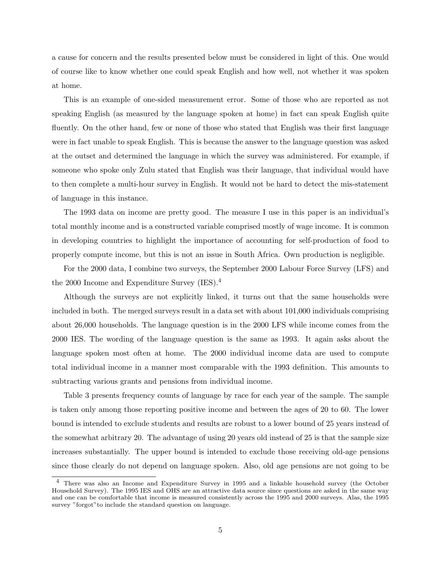a cause for concern and the results presented below must be considered in light of this. One would of course like to know whether one could speak English and how well, not whether it was spoken at home.

This is an example of one-sided measurement error. Some of those who are reported as not speaking English (as measured by the language spoken at home) in fact can speak English quite fluently. On the other hand, few or none of those who stated that English was their first language were in fact unable to speak English. This is because the answer to the language question was asked at the outset and determined the language in which the survey was administered. For example, if someone who spoke only Zulu stated that English was their language, that individual would have to then complete a multi-hour survey in English. It would not be hard to detect the mis-statement of language in this instance.

The 1993 data on income are pretty good. The measure I use in this paper is an individual's total monthly income and is a constructed variable comprised mostly of wage income. It is common in developing countries to highlight the importance of accounting for self-production of food to properly compute income, but this is not an issue in South Africa. Own production is negligible.

For the 2000 data, I combine two surveys, the September 2000 Labour Force Survey (LFS) and the 2000 Income and Expenditure Survey (IES).<sup>4</sup>

Although the surveys are not explicitly linked, it turns out that the same households were included in both. The merged surveys result in a data set with about 101,000 individuals comprising about 26,000 households. The language question is in the 2000 LFS while income comes from the 2000 IES. The wording of the language question is the same as 1993. It again asks about the language spoken most often at home. The 2000 individual income data are used to compute total individual income in a manner most comparable with the 1993 definition. This amounts to subtracting various grants and pensions from individual income.

Table 3 presents frequency counts of language by race for each year of the sample. The sample is taken only among those reporting positive income and between the ages of 20 to 60. The lower bound is intended to exclude students and results are robust to a lower bound of 25 years instead of the somewhat arbitrary 20. The advantage of using 20 years old instead of 25 is that the sample size increases substantially. The upper bound is intended to exclude those receiving old-age pensions since those clearly do not depend on language spoken. Also, old age pensions are not going to be

<sup>4</sup> There was also an Income and Expenditure Survey in 1995 and a linkable household survey (the October Household Survey). The 1995 IES and OHS are an attractive data source since questions are asked in the same way and one can be comfortable that income is measured consistently across the 1995 and 2000 surveys. Alas, the 1995 survey "forgot"to include the standard question on language.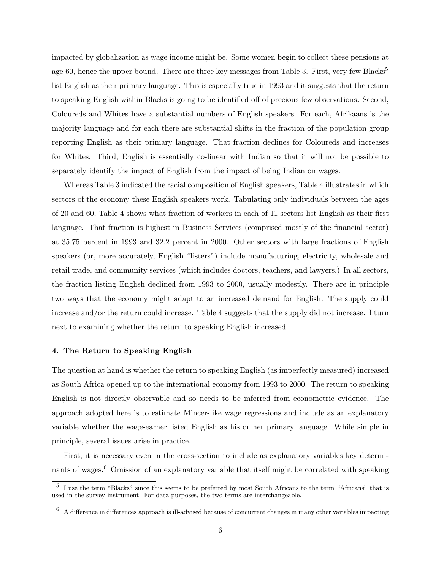impacted by globalization as wage income might be. Some women begin to collect these pensions at age 60, hence the upper bound. There are three key messages from Table 3. First, very few Blacks<sup>5</sup> list English as their primary language. This is especially true in 1993 and it suggests that the return to speaking English within Blacks is going to be identified off of precious few observations. Second, Coloureds and Whites have a substantial numbers of English speakers. For each, Afrikaans is the majority language and for each there are substantial shifts in the fraction of the population group reporting English as their primary language. That fraction declines for Coloureds and increases for Whites. Third, English is essentially co-linear with Indian so that it will not be possible to separately identify the impact of English from the impact of being Indian on wages.

Whereas Table 3 indicated the racial composition of English speakers, Table 4 illustrates in which sectors of the economy these English speakers work. Tabulating only individuals between the ages of 20 and 60, Table 4 shows what fraction of workers in each of 11 sectors list English as their first language. That fraction is highest in Business Services (comprised mostly of the financial sector) at 35.75 percent in 1993 and 32.2 percent in 2000. Other sectors with large fractions of English speakers (or, more accurately, English "listers") include manufacturing, electricity, wholesale and retail trade, and community services (which includes doctors, teachers, and lawyers.) In all sectors, the fraction listing English declined from 1993 to 2000, usually modestly. There are in principle two ways that the economy might adapt to an increased demand for English. The supply could increase and/or the return could increase. Table 4 suggests that the supply did not increase. I turn next to examining whether the return to speaking English increased.

#### 4. The Return to Speaking English

The question at hand is whether the return to speaking English (as imperfectly measured) increased as South Africa opened up to the international economy from 1993 to 2000. The return to speaking English is not directly observable and so needs to be inferred from econometric evidence. The approach adopted here is to estimate Mincer-like wage regressions and include as an explanatory variable whether the wage-earner listed English as his or her primary language. While simple in principle, several issues arise in practice.

First, it is necessary even in the cross-section to include as explanatory variables key determinants of wages.<sup>6</sup> Omission of an explanatory variable that itself might be correlated with speaking

<sup>&</sup>lt;sup>5</sup> I use the term "Blacks" since this seems to be preferred by most South Africans to the term "Africans" that is used in the survey instrument. For data purposes, the two terms are interchangeable.

 $6\;$  A difference in differences approach is ill-advised because of concurrent changes in many other variables impacting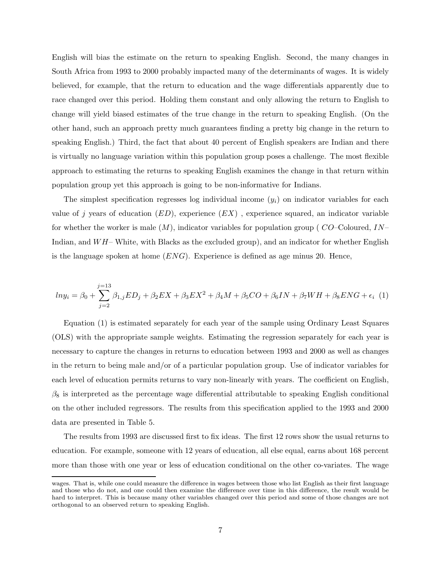English will bias the estimate on the return to speaking English. Second, the many changes in South Africa from 1993 to 2000 probably impacted many of the determinants of wages. It is widely believed, for example, that the return to education and the wage differentials apparently due to race changed over this period. Holding them constant and only allowing the return to English to change will yield biased estimates of the true change in the return to speaking English. (On the other hand, such an approach pretty much guarantees finding a pretty big change in the return to speaking English.) Third, the fact that about 40 percent of English speakers are Indian and there is virtually no language variation within this population group poses a challenge. The most flexible approach to estimating the returns to speaking English examines the change in that return within population group yet this approach is going to be non-informative for Indians.

The simplest specification regresses log individual income  $(y_i)$  on indicator variables for each value of j years of education  $(ED)$ , experience  $(EX)$ , experience squared, an indicator variable for whether the worker is male  $(M)$ , indicator variables for population group ( $CO-Coloured$ ,  $IN-$ Indian, and  $WH$ – White, with Blacks as the excluded group), and an indicator for whether English is the language spoken at home  $(ENG)$ . Experience is defined as age minus 20. Hence,

$$
ln y_i = \beta_0 + \sum_{j=2}^{j=13} \beta_{1,j} ED_j + \beta_2 EX + \beta_3 EX^2 + \beta_4 M + \beta_5 CO + \beta_6 IN + \beta_7 WH + \beta_8 ENG + \epsilon_i
$$
 (1)

Equation (1) is estimated separately for each year of the sample using Ordinary Least Squares (OLS) with the appropriate sample weights. Estimating the regression separately for each year is necessary to capture the changes in returns to education between 1993 and 2000 as well as changes in the return to being male and/or of a particular population group. Use of indicator variables for each level of education permits returns to vary non-linearly with years. The coefficient on English,  $\beta_8$  is interpreted as the percentage wage differential attributable to speaking English conditional on the other included regressors. The results from this specification applied to the 1993 and 2000 data are presented in Table 5.

The results from 1993 are discussed first to fix ideas. The first 12 rows show the usual returns to education. For example, someone with 12 years of education, all else equal, earns about 168 percent more than those with one year or less of education conditional on the other co-variates. The wage

wages. That is, while one could measure the difference in wages between those who list English as their first language and those who do not, and one could then examine the difference over time in this difference, the result would be hard to interpret. This is because many other variables changed over this period and some of those changes are not orthogonal to an observed return to speaking English.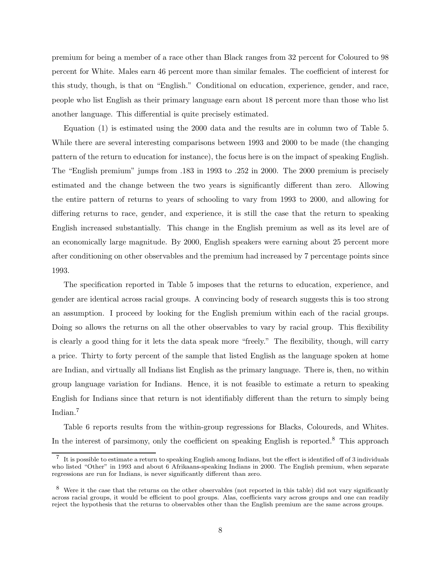premium for being a member of a race other than Black ranges from 32 percent for Coloured to 98 percent for White. Males earn 46 percent more than similar females. The coefficient of interest for this study, though, is that on "English." Conditional on education, experience, gender, and race, people who list English as their primary language earn about 18 percent more than those who list another language. This differential is quite precisely estimated.

Equation (1) is estimated using the 2000 data and the results are in column two of Table 5. While there are several interesting comparisons between 1993 and 2000 to be made (the changing pattern of the return to education for instance), the focus here is on the impact of speaking English. The "English premium" jumps from .183 in 1993 to .252 in 2000. The 2000 premium is precisely estimated and the change between the two years is significantly different than zero. Allowing the entire pattern of returns to years of schooling to vary from 1993 to 2000, and allowing for differing returns to race, gender, and experience, it is still the case that the return to speaking English increased substantially. This change in the English premium as well as its level are of an economically large magnitude. By 2000, English speakers were earning about 25 percent more after conditioning on other observables and the premium had increased by 7 percentage points since 1993.

The specification reported in Table 5 imposes that the returns to education, experience, and gender are identical across racial groups. A convincing body of research suggests this is too strong an assumption. I proceed by looking for the English premium within each of the racial groups. Doing so allows the returns on all the other observables to vary by racial group. This flexibility is clearly a good thing for it lets the data speak more "freely." The flexibility, though, will carry a price. Thirty to forty percent of the sample that listed English as the language spoken at home are Indian, and virtually all Indians list English as the primary language. There is, then, no within group language variation for Indians. Hence, it is not feasible to estimate a return to speaking English for Indians since that return is not identifiably different than the return to simply being Indian.<sup>7</sup>

Table 6 reports results from the within-group regressions for Blacks, Coloureds, and Whites. In the interest of parsimony, only the coefficient on speaking English is reported.<sup>8</sup> This approach

 $^7$  It is possible to estimate a return to speaking English among Indians, but the effect is identified off of 3 individuals who listed "Other" in 1993 and about 6 Afrikaans-speaking Indians in 2000. The English premium, when separate regressions are run for Indians, is never significantly different than zero.

<sup>8</sup> Were it the case that the returns on the other observables (not reported in this table) did not vary significantly across racial groups, it would be efficient to pool groups. Alas, coefficients vary across groups and one can readily reject the hypothesis that the returns to observables other than the English premium are the same across groups.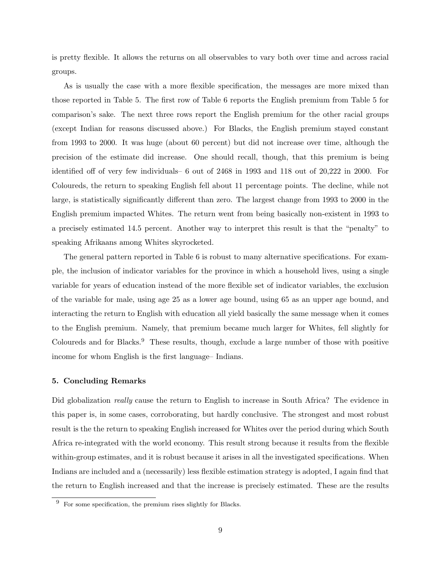is pretty flexible. It allows the returns on all observables to vary both over time and across racial groups.

As is usually the case with a more flexible specification, the messages are more mixed than those reported in Table 5. The first row of Table 6 reports the English premium from Table 5 for comparison's sake. The next three rows report the English premium for the other racial groups (except Indian for reasons discussed above.) For Blacks, the English premium stayed constant from 1993 to 2000. It was huge (about 60 percent) but did not increase over time, although the precision of the estimate did increase. One should recall, though, that this premium is being identified off of very few individuals– 6 out of 2468 in 1993 and 118 out of 20,222 in 2000. For Coloureds, the return to speaking English fell about 11 percentage points. The decline, while not large, is statistically significantly different than zero. The largest change from 1993 to 2000 in the English premium impacted Whites. The return went from being basically non-existent in 1993 to a precisely estimated 14.5 percent. Another way to interpret this result is that the "penalty" to speaking Afrikaans among Whites skyrocketed.

The general pattern reported in Table 6 is robust to many alternative specifications. For example, the inclusion of indicator variables for the province in which a household lives, using a single variable for years of education instead of the more flexible set of indicator variables, the exclusion of the variable for male, using age 25 as a lower age bound, using 65 as an upper age bound, and interacting the return to English with education all yield basically the same message when it comes to the English premium. Namely, that premium became much larger for Whites, fell slightly for Coloureds and for Blacks.<sup>9</sup> These results, though, exclude a large number of those with positive income for whom English is the first language– Indians.

#### 5. Concluding Remarks

Did globalization *really* cause the return to English to increase in South Africa? The evidence in this paper is, in some cases, corroborating, but hardly conclusive. The strongest and most robust result is the the return to speaking English increased for Whites over the period during which South Africa re-integrated with the world economy. This result strong because it results from the flexible within-group estimates, and it is robust because it arises in all the investigated specifications. When Indians are included and a (necessarily) less flexible estimation strategy is adopted, I again find that the return to English increased and that the increase is precisely estimated. These are the results

 $9\,$  For some specification, the premium rises slightly for Blacks.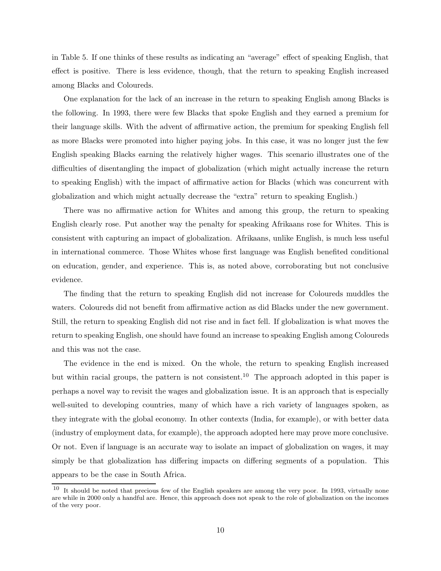in Table 5. If one thinks of these results as indicating an "average" effect of speaking English, that effect is positive. There is less evidence, though, that the return to speaking English increased among Blacks and Coloureds.

One explanation for the lack of an increase in the return to speaking English among Blacks is the following. In 1993, there were few Blacks that spoke English and they earned a premium for their language skills. With the advent of affirmative action, the premium for speaking English fell as more Blacks were promoted into higher paying jobs. In this case, it was no longer just the few English speaking Blacks earning the relatively higher wages. This scenario illustrates one of the difficulties of disentangling the impact of globalization (which might actually increase the return to speaking English) with the impact of affirmative action for Blacks (which was concurrent with globalization and which might actually decrease the "extra" return to speaking English.)

There was no affirmative action for Whites and among this group, the return to speaking English clearly rose. Put another way the penalty for speaking Afrikaans rose for Whites. This is consistent with capturing an impact of globalization. Afrikaans, unlike English, is much less useful in international commerce. Those Whites whose first language was English benefited conditional on education, gender, and experience. This is, as noted above, corroborating but not conclusive evidence.

The finding that the return to speaking English did not increase for Coloureds muddles the waters. Coloureds did not benefit from affirmative action as did Blacks under the new government. Still, the return to speaking English did not rise and in fact fell. If globalization is what moves the return to speaking English, one should have found an increase to speaking English among Coloureds and this was not the case.

The evidence in the end is mixed. On the whole, the return to speaking English increased but within racial groups, the pattern is not consistent.<sup>10</sup> The approach adopted in this paper is perhaps a novel way to revisit the wages and globalization issue. It is an approach that is especially well-suited to developing countries, many of which have a rich variety of languages spoken, as they integrate with the global economy. In other contexts (India, for example), or with better data (industry of employment data, for example), the approach adopted here may prove more conclusive. Or not. Even if language is an accurate way to isolate an impact of globalization on wages, it may simply be that globalization has differing impacts on differing segments of a population. This appears to be the case in South Africa.

<sup>&</sup>lt;sup>10</sup> It should be noted that precious few of the English speakers are among the very poor. In 1993, virtually none are while in 2000 only a handful are. Hence, this approach does not speak to the role of globalization on the incomes of the very poor.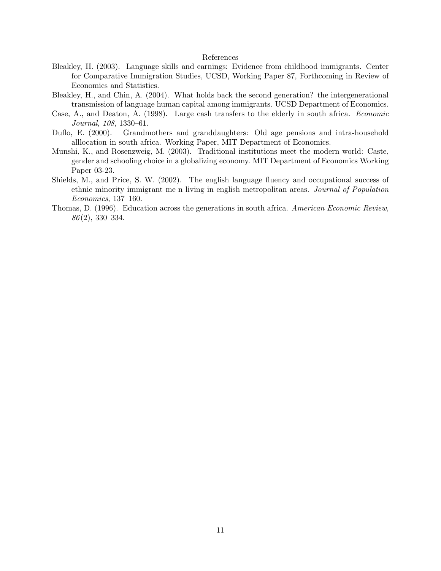#### References

- Bleakley, H. (2003). Language skills and earnings: Evidence from childhood immigrants. Center for Comparative Immigration Studies, UCSD, Working Paper 87, Forthcoming in Review of Economics and Statistics.
- Bleakley, H., and Chin, A. (2004). What holds back the second generation? the intergenerational transmission of language human capital among immigrants. UCSD Department of Economics.
- Case, A., and Deaton, A. (1998). Large cash transfers to the elderly in south africa. Economic Journal, 108, 1330–61.
- Duflo, E. (2000). Grandmothers and granddaughters: Old age pensions and intra-household alllocation in south africa. Working Paper, MIT Department of Economics.
- Munshi, K., and Rosenzweig, M. (2003). Traditional institutions meet the modern world: Caste, gender and schooling choice in a globalizing economy. MIT Department of Economics Working Paper 03-23.
- Shields, M., and Price, S. W. (2002). The english language fluency and occupational success of ethnic minority immigrant me n living in english metropolitan areas. Journal of Population Economics, 137–160.
- Thomas, D. (1996). Education across the generations in south africa. American Economic Review, 86(2), 330–334.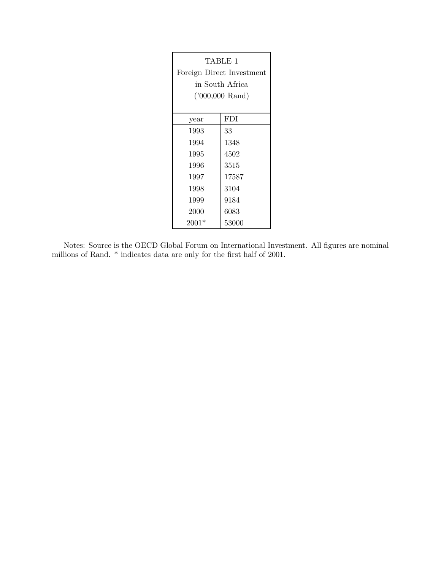|         | TABLE 1<br>Foreign Direct Investment<br>in South Africa<br>$('000,000$ Rand) |
|---------|------------------------------------------------------------------------------|
| year    | <b>FDI</b>                                                                   |
| 1993    | 33                                                                           |
| 1994    | 1348                                                                         |
| 1995    | 4502                                                                         |
| 1996    | 3515                                                                         |
| 1997    | 17587                                                                        |
| 1998    | 3104                                                                         |
| 1999    | 9184                                                                         |
| 2000    | 6083                                                                         |
| $2001*$ | 53000                                                                        |

Notes: Source is the OECD Global Forum on International Investment. All figures are nominal millions of Rand. \* indicates data are only for the first half of 2001.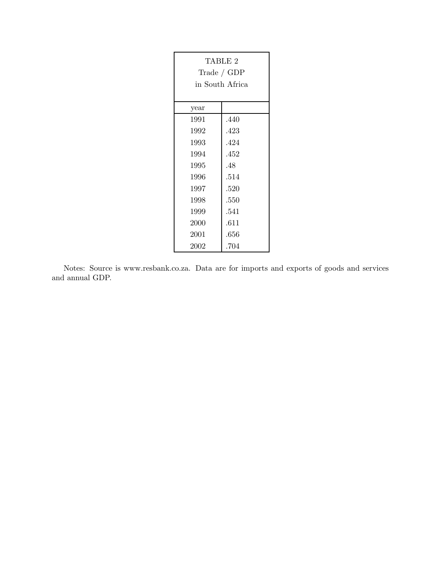| TABLE 2<br>$\text{Trade } / \text{ GDP}$<br>in South Africa |      |
|-------------------------------------------------------------|------|
| year                                                        |      |
| 1991                                                        | .440 |
| 1992                                                        | .423 |
| 1993                                                        | .424 |
| 1994                                                        | .452 |
| 1995                                                        | .48  |
| 1996                                                        | .514 |
| 1997                                                        | .520 |
| 1998                                                        | .550 |
| 1999                                                        | .541 |
| 2000                                                        | .611 |
| 2001                                                        | .656 |
| 2002                                                        | .704 |

Notes: Source is www.resbank.co.za. Data are for imports and exports of goods and services and annual GDP.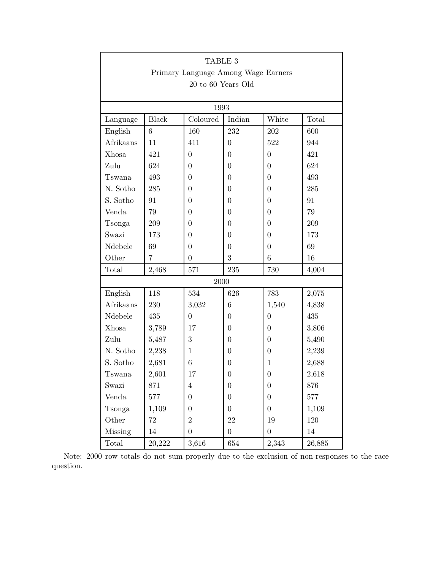| TABLE 3<br>Primary Language Among Wage Earners |              |                    |                  |                  |        |
|------------------------------------------------|--------------|--------------------|------------------|------------------|--------|
|                                                |              | 20 to 60 Years Old |                  |                  |        |
|                                                |              | 1993               |                  |                  |        |
| Language                                       | <b>Black</b> | Coloured           | Indian           | White            | Total  |
| English                                        | 6            | 160                | 232              | 202              | 600    |
| Afrikaans                                      | $11\,$       | 411                | $\overline{0}$   | 522              | 944    |
| Xhosa                                          | 421          | $\overline{0}$     | $\overline{0}$   | $\overline{0}$   | 421    |
| Zulu                                           | 624          | $\overline{0}$     | $\overline{0}$   | $\theta$         | 624    |
| Tswana                                         | 493          | $\overline{0}$     | $\theta$         | $\theta$         | 493    |
| N. Sotho                                       | 285          | $\overline{0}$     | $\overline{0}$   | $\overline{0}$   | 285    |
| S. Sotho                                       | 91           | $\overline{0}$     | $\overline{0}$   | $\theta$         | 91     |
| Venda                                          | 79           | $\overline{0}$     | $\overline{0}$   | $\theta$         | 79     |
| Tsonga                                         | 209          | $\overline{0}$     | $\overline{0}$   | $\boldsymbol{0}$ | 209    |
| Swazi                                          | 173          | $\overline{0}$     | $\overline{0}$   | $\theta$         | 173    |
| Ndebele                                        | 69           | $\theta$           | $\theta$         | $\theta$         | 69     |
| Other                                          | 7            | $\overline{0}$     | 3                | $\,6$            | 16     |
| Total                                          | 2,468        | 571                | 235              | 730              | 4,004  |
|                                                |              | 2000               |                  |                  |        |
| English                                        | 118          | 534                | 626              | 783              | 2,075  |
| Afrikaans                                      | 230          | 3,032              | 6                | 1,540            | 4,838  |
| Ndebele                                        | 435          | $\overline{0}$     | $\overline{0}$   | $\theta$         | 435    |
| Xhosa                                          | 3,789        | 17                 | $\overline{0}$   | $\boldsymbol{0}$ | 3,806  |
| Zulu                                           | 5,487        | 3                  | $\overline{0}$   | $\theta$         | 5,490  |
| N. Sotho                                       | 2,238        | 1                  | $\theta$         | $\boldsymbol{0}$ | 2,239  |
| S. Sotho                                       | 2,681        | 6                  | $\boldsymbol{0}$ | $\mathbf{1}$     | 2,688  |
| Tswana                                         | 2,601        | 17                 | $\boldsymbol{0}$ | $\boldsymbol{0}$ | 2,618  |
| Swazi                                          | 871          | $\overline{4}$     | $\overline{0}$   | $\boldsymbol{0}$ | 876    |
| Venda                                          | 577          | $\overline{0}$     | $\boldsymbol{0}$ | $\boldsymbol{0}$ | 577    |
| Tsonga                                         | 1,109        | $\theta$           | $\boldsymbol{0}$ | $\boldsymbol{0}$ | 1,109  |
| Other                                          | 72           | $\overline{2}$     | 22               | 19               | 120    |
| <b>Missing</b>                                 | 14           | $\overline{0}$     | $\overline{0}$   | $\boldsymbol{0}$ | 14     |
| Total                                          | 20,222       | 3,616              | $\,654$          | 2,343            | 26,885 |

Note: 2000 row totals do not sum properly due to the exclusion of non-responses to the race question.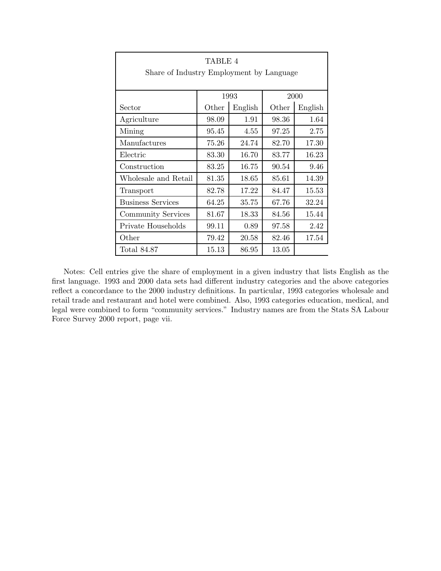| Share of Industry Employment by Language | TABLE 4 |         |       |         |  |
|------------------------------------------|---------|---------|-------|---------|--|
|                                          | 1993    |         |       | 2000    |  |
| Sector                                   | Other   | English | Other | English |  |
| Agriculture                              | 98.09   | 1.91    | 98.36 | 1.64    |  |
| Mining                                   | 95.45   | 4.55    | 97.25 | 2.75    |  |
| Manufactures                             | 75.26   | 24.74   | 82.70 | 17.30   |  |
| Electric                                 | 83.30   | 16.70   | 83.77 | 16.23   |  |
| Construction                             | 83.25   | 16.75   | 90.54 | 9.46    |  |
| Wholesale and Retail                     | 81.35   | 18.65   | 85.61 | 14.39   |  |
| Transport                                | 82.78   | 17.22   | 84.47 | 15.53   |  |
| <b>Business Services</b>                 | 64.25   | 35.75   | 67.76 | 32.24   |  |
| <b>Community Services</b>                | 81.67   | 18.33   | 84.56 | 15.44   |  |
| Private Households                       | 99.11   | 0.89    | 97.58 | 2.42    |  |
| Other                                    | 79.42   | 20.58   | 82.46 | 17.54   |  |
| Total 84.87                              | 15.13   | 86.95   | 13.05 |         |  |

Notes: Cell entries give the share of employment in a given industry that lists English as the first language. 1993 and 2000 data sets had different industry categories and the above categories reflect a concordance to the 2000 industry definitions. In particular, 1993 categories wholesale and retail trade and restaurant and hotel were combined. Also, 1993 categories education, medical, and legal were combined to form "community services." Industry names are from the Stats SA Labour Force Survey 2000 report, page vii.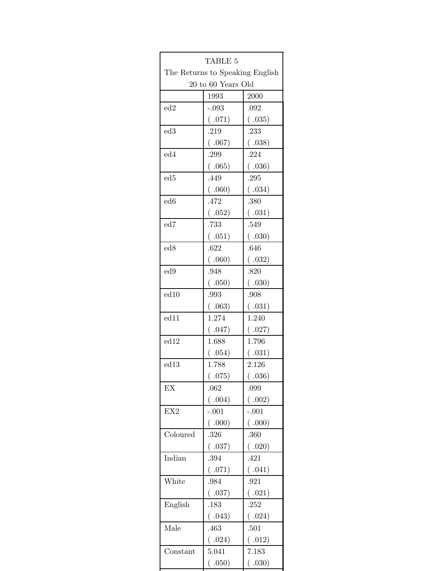|                 | TABLE 5            |                                 |
|-----------------|--------------------|---------------------------------|
|                 |                    | The Returns to Speaking English |
|                 | 20 to 60 Years Old |                                 |
|                 | 1993               | 2000                            |
| ed2             | $-.093$            | .092                            |
|                 | (.071)             | (.035)                          |
| ed <sub>3</sub> | .219               | .233                            |
|                 | (.067)             | (.038)                          |
| ed4             | .299               | .224                            |
|                 | (.065)             | (.036)                          |
| ed5             | .449               | .295                            |
|                 | (0.60)             | (.034)                          |
| ed <sub>6</sub> | .472               | .380                            |
|                 | (.052)             | (.031)                          |
| ed7             | .733               | .549                            |
|                 | (.051)             | (.030)                          |
| ed <sub>8</sub> | .622               | .646                            |
|                 | (.060)             | (.032)                          |
| ed9             | .948               | .820                            |
|                 | (.050)             | (.030)                          |
| ed10            | .993               | .908                            |
|                 | (.063)             | (.031)                          |
| ed11            | 1.274              | 1.240                           |
|                 | (.047)             | (.027)                          |
| ed12            | 1.688              | 1.796                           |
|                 | (.054)             | (.031)                          |
| ed13            | 1.788              | 2.126                           |
|                 | (.075)             | (.036)                          |
| EX              | .062               | .099                            |
|                 | (.004)             | (.002)                          |
| EX2             | $-.001$            | $-.001$                         |
|                 | (0.000)            | (0.000)                         |
| Coloured        | .326               | .360                            |
|                 | (.037)             | (.020)                          |
| Indian          | .394               | .421                            |
|                 | (.071)             | (.041)                          |
| White           | .984               | .921                            |
|                 | (.037)             | (.021)                          |
| English         | .183               | .252                            |
|                 | (.043)             | (.024)                          |
| Male            | .463               | .501                            |
|                 | (.024)             | (.012)                          |
| Constant        | 5.041              | 7.183                           |
|                 | (.050)             | (.030)                          |